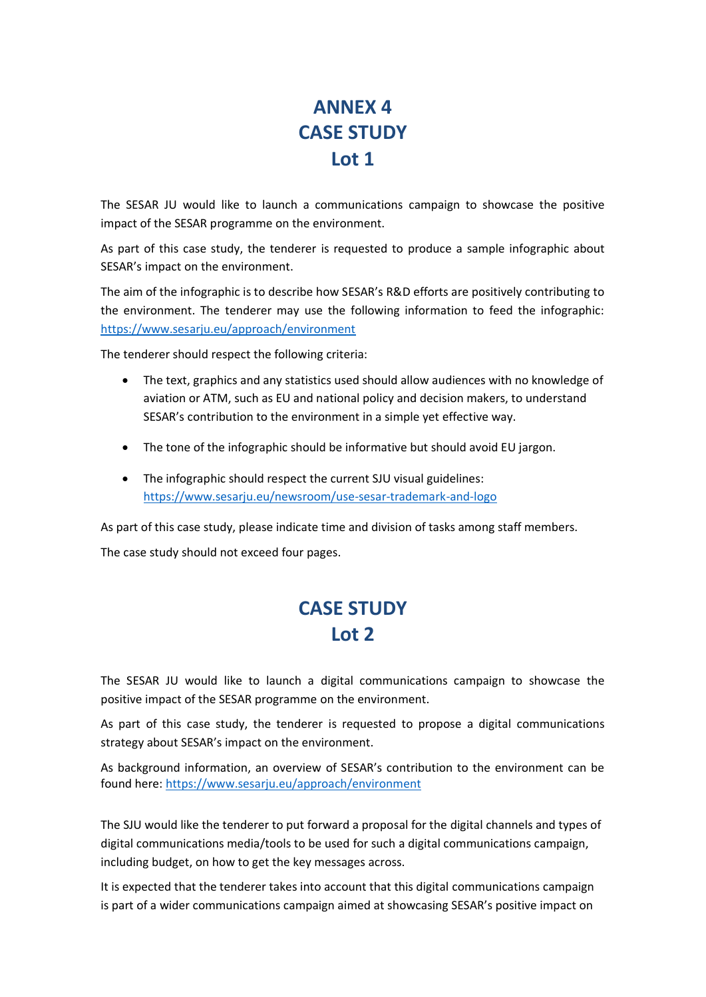# **ANNEX 4 CASE STUDY Lot 1**

The SESAR JU would like to launch a communications campaign to showcase the positive impact of the SESAR programme on the environment.

As part of this case study, the tenderer is requested to produce a sample infographic about SESAR's impact on the environment.

The aim of the infographic is to describe how SESAR's R&D efforts are positively contributing to the environment. The tenderer may use the following information to feed the infographic: <https://www.sesarju.eu/approach/environment>

The tenderer should respect the following criteria:

- The text, graphics and any statistics used should allow audiences with no knowledge of aviation or ATM, such as EU and national policy and decision makers, to understand SESAR's contribution to the environment in a simple yet effective way.
- The tone of the infographic should be informative but should avoid EU jargon.
- The infographic should respect the current SJU visual guidelines: <https://www.sesarju.eu/newsroom/use-sesar-trademark-and-logo>

As part of this case study, please indicate time and division of tasks among staff members.

The case study should not exceed four pages.

### **CASE STUDY Lot 2**

The SESAR JU would like to launch a digital communications campaign to showcase the positive impact of the SESAR programme on the environment.

As part of this case study, the tenderer is requested to propose a digital communications strategy about SESAR's impact on the environment.

As background information, an overview of SESAR's contribution to the environment can be found here:<https://www.sesarju.eu/approach/environment>

The SJU would like the tenderer to put forward a proposal for the digital channels and types of digital communications media/tools to be used for such a digital communications campaign, including budget, on how to get the key messages across.

It is expected that the tenderer takes into account that this digital communications campaign is part of a wider communications campaign aimed at showcasing SESAR's positive impact on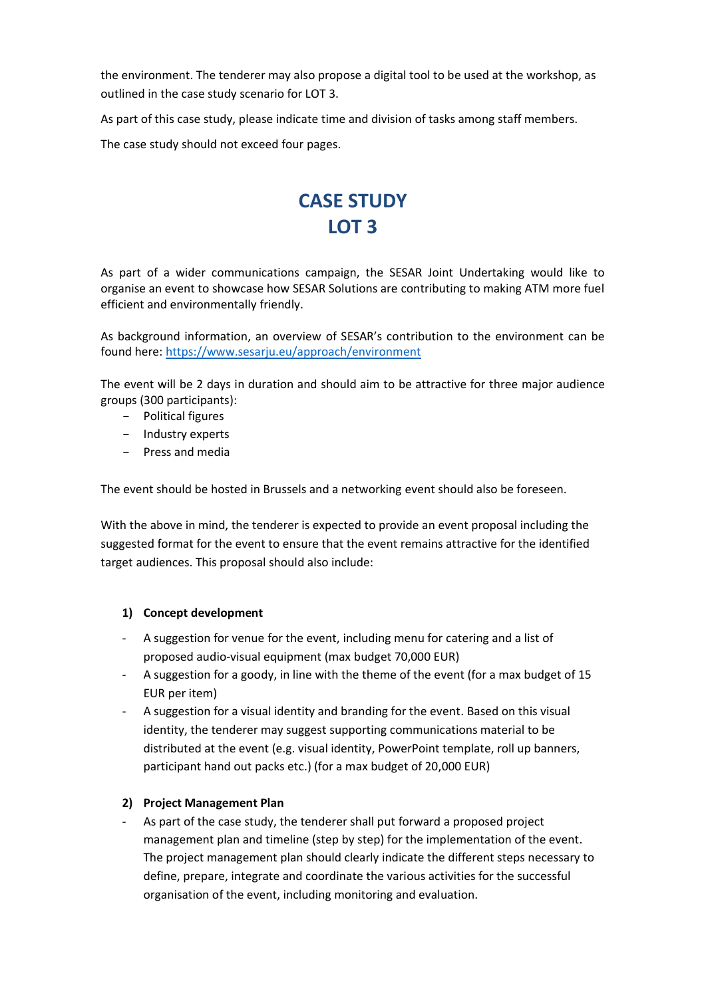the environment. The tenderer may also propose a digital tool to be used at the workshop, as outlined in the case study scenario for LOT 3.

As part of this case study, please indicate time and division of tasks among staff members.

The case study should not exceed four pages.

# **CASE STUDY LOT 3**

As part of a wider communications campaign, the SESAR Joint Undertaking would like to organise an event to showcase how SESAR Solutions are contributing to making ATM more fuel efficient and environmentally friendly.

As background information, an overview of SESAR's contribution to the environment can be found here:<https://www.sesarju.eu/approach/environment>

The event will be 2 days in duration and should aim to be attractive for three major audience groups (300 participants):

- Political figures
- Industry experts
- Press and media

The event should be hosted in Brussels and a networking event should also be foreseen.

With the above in mind, the tenderer is expected to provide an event proposal including the suggested format for the event to ensure that the event remains attractive for the identified target audiences. This proposal should also include:

### **1) Concept development**

- A suggestion for venue for the event, including menu for catering and a list of proposed audio-visual equipment (max budget 70,000 EUR)
- A suggestion for a goody, in line with the theme of the event (for a max budget of 15 EUR per item)
- A suggestion for a visual identity and branding for the event. Based on this visual identity, the tenderer may suggest supporting communications material to be distributed at the event (e.g. visual identity, PowerPoint template, roll up banners, participant hand out packs etc.) (for a max budget of 20,000 EUR)

### **2) Project Management Plan**

As part of the case study, the tenderer shall put forward a proposed project management plan and timeline (step by step) for the implementation of the event. The project management plan should clearly indicate the different steps necessary to define, prepare, integrate and coordinate the various activities for the successful organisation of the event, including monitoring and evaluation.